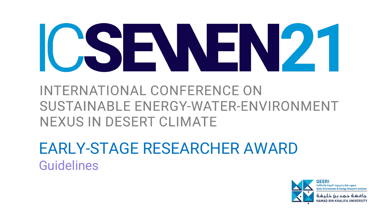

INTERNATIONAL CONFERENCE ON SUSTAINABLE ENERGY-WATER-ENVIRONMENT NEXUS IN DESERT CLIMATE

EARLY-STAGE RESEARCHER AWARD Guidelines



**HAMAD BIN KHAL**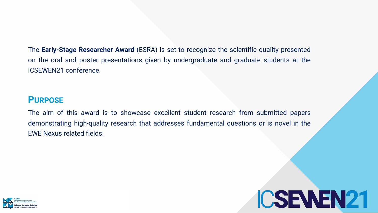

# ICSEWEN21

The **Early-Stage Researcher Award** (ESRA) is set to recognize the scientific quality presented on the oral and poster presentations given by undergraduate and graduate students at the ICSEWEN21 conference.

### **PURPOSE**

The aim of this award is to showcase excellent student research from submitted papers demonstrating high-quality research that addresses fundamental questions or is novel in the EWE Nexus related fields.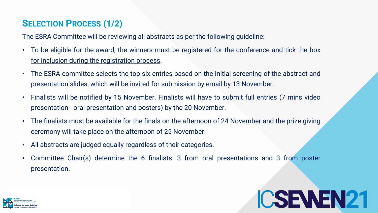



# **SELECTION PROCESS (1/2)**

The ESRA Committee will be reviewing all abstracts as per the following guideline:

- To be eligible for the award, the winners must be registered for the conference and tick the box for inclusion during the registration process.
- The ESRA committee selects the top six entries based on the initial screening of the abstract and presentation slides, which will be invited for submission by email by 13 November.
- Finalists will be notified by 15 November. Finalists will have to submit full entries (7 mins video presentation - oral presentation and posters) by the 20 November.
- The finalists must be available for the finals on the afternoon of 24 November and the prize giving ceremony will take place on the afternoon of 25 November.
- All abstracts are judged equally regardless of their categories.
- Committee Chair(s) determine the 6 finalists: 3 from oral presentations and 3 from poster presentation.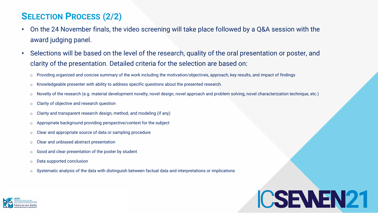



## **SELECTION PROCESS (2/2)**

- On the 24 November finals, the video screening will take place followed by a Q&A session with the award judging panel.
- Selections will be based on the level of the research, quality of the oral presentation or poster, and clarity of the presentation. Detailed criteria for the selection are based on:
	- o Providing organized and concise summary of the work including the motivation/objectives, approach, key results, and impact of findings
	- o Knowledgeable presenter with ability to address specific questions about the presented research.
	- o Novelty of the research (e.g. material development novelty, novel design, novel approach and problem solving, novel characterization technique, etc.)
	- o Clarity of objective and research question
	- o Clarity and transparent research design, method, and modeling (if any)
	- o Appropriate background providing perspective/context for the subject
	- o Clear and appropriate source of data or sampling procedure
	- o Clear and unbiased abstract presentation
	- o Good and clear presentation of the poster by student
	- o Data supported conclusion
	- o Systematic analysis of the data with distinguish between factual data and interpretations or implications